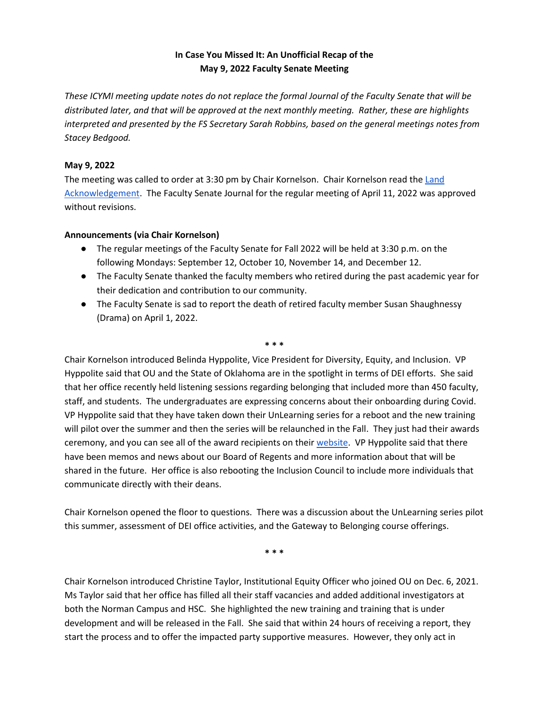## **In Case You Missed It: An Unofficial Recap of the May 9, 2022 Faculty Senate Meeting**

*These ICYMI meeting update notes do not replace the formal Journal of the Faculty Senate that will be distributed later, and that will be approved at the next monthly meeting. Rather, these are highlights interpreted and presented by the FS Secretary Sarah Robbins, based on the general meetings notes from Stacey Bedgood.*

## **May 9, 2022**

The meeting was called to order at 3:30 pm by Chair Kornelson. Chair Kornelson read the Land [Acknowledgement.](https://facultysenate.ou.edu/LandAcknowledgement.pdf) The Faculty Senate Journal for the regular meeting of April 11, 2022 was approved without revisions.

## **Announcements (via Chair Kornelson)**

- The regular meetings of the Faculty Senate for Fall 2022 will be held at 3:30 p.m. on the following Mondays: September 12, October 10, November 14, and December 12.
- The Faculty Senate thanked the faculty members who retired during the past academic year for their dedication and contribution to our community.
- The Faculty Senate is sad to report the death of retired faculty member Susan Shaughnessy (Drama) on April 1, 2022.

**\* \* \***

Chair Kornelson introduced Belinda Hyppolite, Vice President for Diversity, Equity, and Inclusion. VP Hyppolite said that OU and the State of Oklahoma are in the spotlight in terms of DEI efforts. She said that her office recently held listening sessions regarding belonging that included more than 450 faculty, staff, and students. The undergraduates are expressing concerns about their onboarding during Covid. VP Hyppolite said that they have taken down their UnLearning series for a reboot and the new training will pilot over the summer and then the series will be relaunched in the Fall. They just had their awards ceremony, and you can see all of the award recipients on their [website.](https://www.ou.edu/diversity) VP Hyppolite said that there have been memos and news about our Board of Regents and more information about that will be shared in the future. Her office is also rebooting the Inclusion Council to include more individuals that communicate directly with their deans.

Chair Kornelson opened the floor to questions. There was a discussion about the UnLearning series pilot this summer, assessment of DEI office activities, and the Gateway to Belonging course offerings.

**\* \* \***

Chair Kornelson introduced Christine Taylor, Institutional Equity Officer who joined OU on Dec. 6, 2021. Ms Taylor said that her office has filled all their staff vacancies and added additional investigators at both the Norman Campus and HSC. She highlighted the new training and training that is under development and will be released in the Fall. She said that within 24 hours of receiving a report, they start the process and to offer the impacted party supportive measures. However, they only act in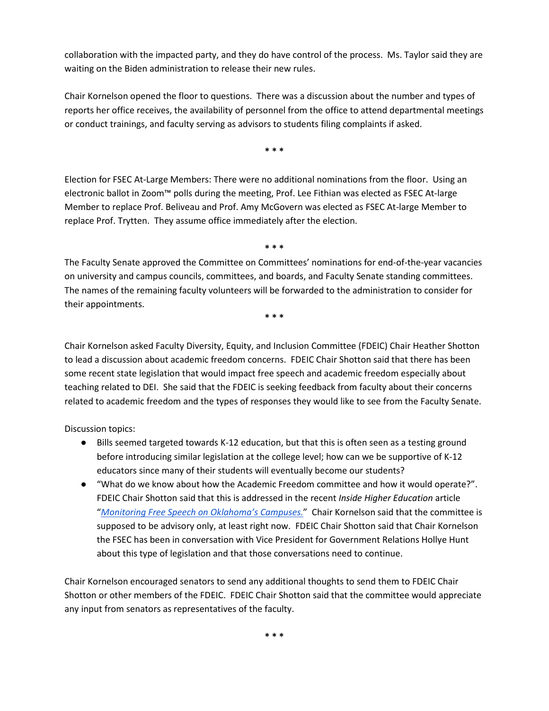collaboration with the impacted party, and they do have control of the process. Ms. Taylor said they are waiting on the Biden administration to release their new rules.

Chair Kornelson opened the floor to questions. There was a discussion about the number and types of reports her office receives, the availability of personnel from the office to attend departmental meetings or conduct trainings, and faculty serving as advisors to students filing complaints if asked.

**\* \* \***

Election for FSEC At-Large Members: There were no additional nominations from the floor. Using an electronic ballot in Zoom™ polls during the meeting, Prof. Lee Fithian was elected as FSEC At-large Member to replace Prof. Beliveau and Prof. Amy McGovern was elected as FSEC At-large Member to replace Prof. Trytten. They assume office immediately after the election.

The Faculty Senate approved the Committee on Committees' nominations for end-of-the-year vacancies on university and campus councils, committees, and boards, and Faculty Senate standing committees. The names of the remaining faculty volunteers will be forwarded to the administration to consider for their appointments.

**\* \* \***

**\* \* \***

Chair Kornelson asked Faculty Diversity, Equity, and Inclusion Committee (FDEIC) Chair Heather Shotton to lead a discussion about academic freedom concerns. FDEIC Chair Shotton said that there has been some recent state legislation that would impact free speech and academic freedom especially about teaching related to DEI. She said that the FDEIC is seeking feedback from faculty about their concerns related to academic freedom and the types of responses they would like to see from the Faculty Senate.

Discussion topics:

- Bills seemed targeted towards K-12 education, but that this is often seen as a testing ground before introducing similar legislation at the college level; how can we be supportive of K-12 educators since many of their students will eventually become our students?
- "What do we know about how the Academic Freedom committee and how it would operate?". FDEIC Chair Shotton said that this is addressed in the recent *Inside Higher Education* article "*[Monitoring Free Speech on Oklahoma's Campuses.](https://www.insidehighered.com/news/2022/05/05/oklahoma-creates-committee-oversee-college-free-speech)*["](https://www.insidehighered.com/news/2022/05/05/oklahoma-creates-committee-oversee-college-free-speech) Chair Kornelson said that the committee is supposed to be advisory only, at least right now. FDEIC Chair Shotton said that Chair Kornelson the FSEC has been in conversation with Vice President for Government Relations Hollye Hunt about this type of legislation and that those conversations need to continue.

Chair Kornelson encouraged senators to send any additional thoughts to send them to FDEIC Chair Shotton or other members of the FDEIC. FDEIC Chair Shotton said that the committee would appreciate any input from senators as representatives of the faculty.

**\* \* \***